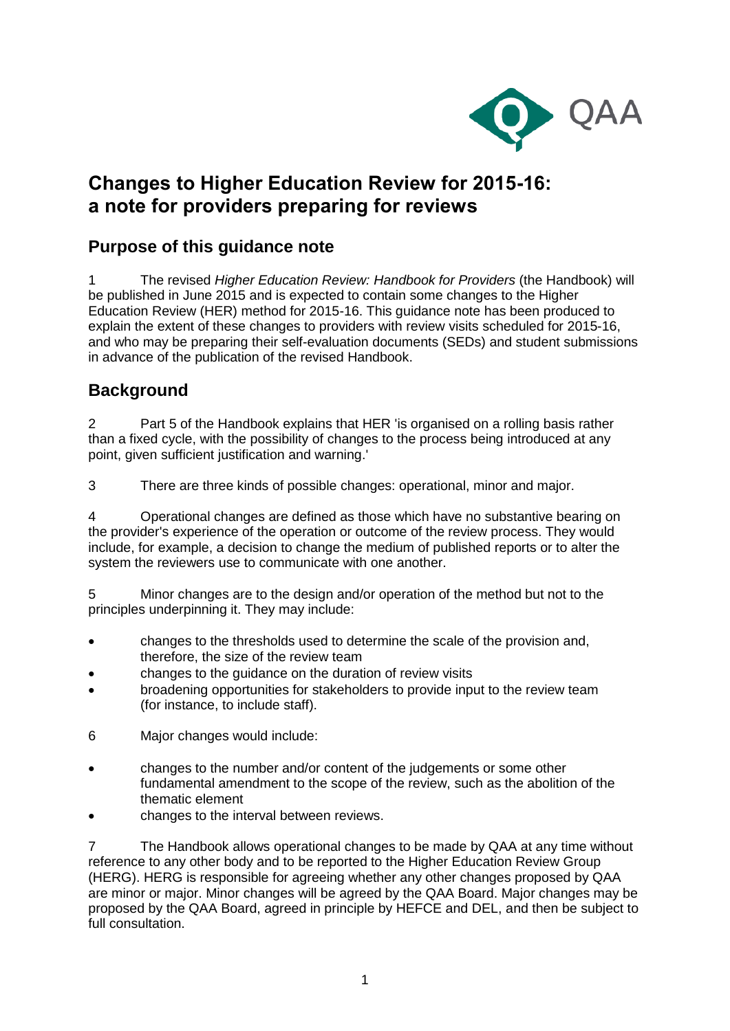

# **Changes to Higher Education Review for 2015-16: a note for providers preparing for reviews**

## **Purpose of this guidance note**

1 The revised *Higher Education Review: Handbook for Providers* (the Handbook) will be published in June 2015 and is expected to contain some changes to the Higher Education Review (HER) method for 2015-16. This guidance note has been produced to explain the extent of these changes to providers with review visits scheduled for 2015-16, and who may be preparing their self-evaluation documents (SEDs) and student submissions in advance of the publication of the revised Handbook.

### **Background**

2 Part 5 of the Handbook explains that HER 'is organised on a rolling basis rather than a fixed cycle, with the possibility of changes to the process being introduced at any point, given sufficient justification and warning.'

3 There are three kinds of possible changes: operational, minor and major.

4 Operational changes are defined as those which have no substantive bearing on the provider's experience of the operation or outcome of the review process. They would include, for example, a decision to change the medium of published reports or to alter the system the reviewers use to communicate with one another.

5 Minor changes are to the design and/or operation of the method but not to the principles underpinning it. They may include:

- changes to the thresholds used to determine the scale of the provision and, therefore, the size of the review team
- changes to the guidance on the duration of review visits
- broadening opportunities for stakeholders to provide input to the review team (for instance, to include staff).
- 6 Major changes would include:
- changes to the number and/or content of the judgements or some other fundamental amendment to the scope of the review, such as the abolition of the thematic element
- changes to the interval between reviews.

7 The Handbook allows operational changes to be made by QAA at any time without reference to any other body and to be reported to the Higher Education Review Group (HERG). HERG is responsible for agreeing whether any other changes proposed by QAA are minor or major. Minor changes will be agreed by the QAA Board. Major changes may be proposed by the QAA Board, agreed in principle by HEFCE and DEL, and then be subject to full consultation.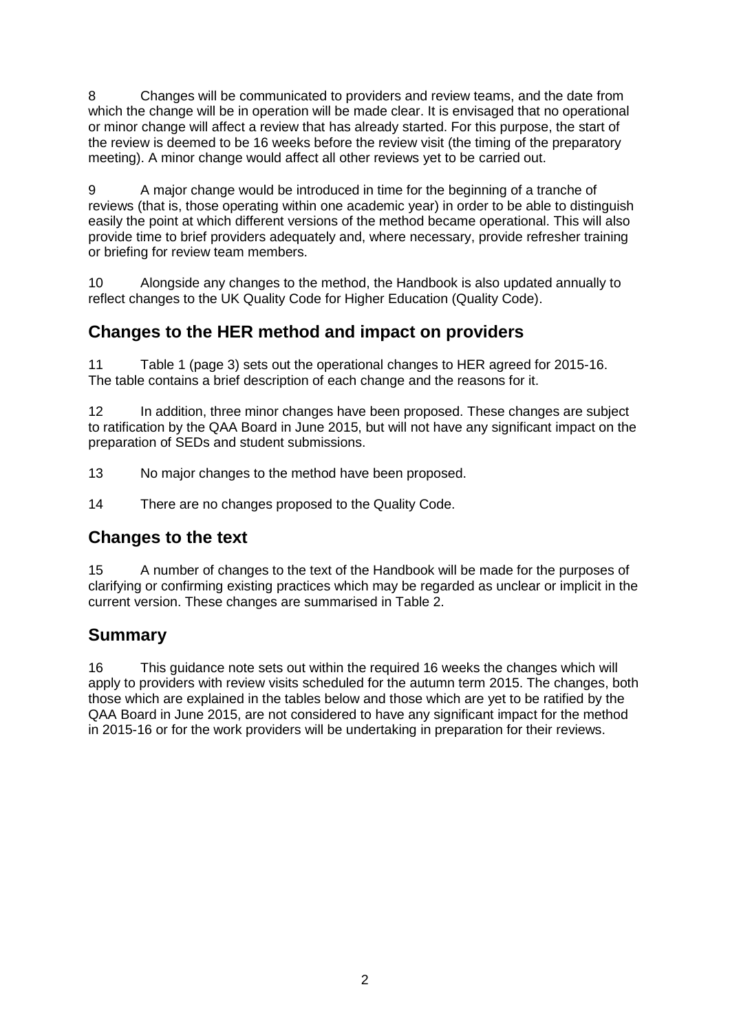8 Changes will be communicated to providers and review teams, and the date from which the change will be in operation will be made clear. It is envisaged that no operational or minor change will affect a review that has already started. For this purpose, the start of the review is deemed to be 16 weeks before the review visit (the timing of the preparatory meeting). A minor change would affect all other reviews yet to be carried out.

9 A major change would be introduced in time for the beginning of a tranche of reviews (that is, those operating within one academic year) in order to be able to distinguish easily the point at which different versions of the method became operational. This will also provide time to brief providers adequately and, where necessary, provide refresher training or briefing for review team members.

10 Alongside any changes to the method, the Handbook is also updated annually to reflect changes to the UK Quality Code for Higher Education (Quality Code).

## **Changes to the HER method and impact on providers**

11 Table 1 (page 3) sets out the operational changes to HER agreed for 2015-16. The table contains a brief description of each change and the reasons for it.

12 In addition, three minor changes have been proposed. These changes are subject to ratification by the QAA Board in June 2015, but will not have any significant impact on the preparation of SEDs and student submissions.

- 13 No major changes to the method have been proposed.
- 14 There are no changes proposed to the Quality Code.

#### **Changes to the text**

15 A number of changes to the text of the Handbook will be made for the purposes of clarifying or confirming existing practices which may be regarded as unclear or implicit in the current version. These changes are summarised in Table 2.

## **Summary**

16 This guidance note sets out within the required 16 weeks the changes which will apply to providers with review visits scheduled for the autumn term 2015. The changes, both those which are explained in the tables below and those which are yet to be ratified by the QAA Board in June 2015, are not considered to have any significant impact for the method in 2015-16 or for the work providers will be undertaking in preparation for their reviews.